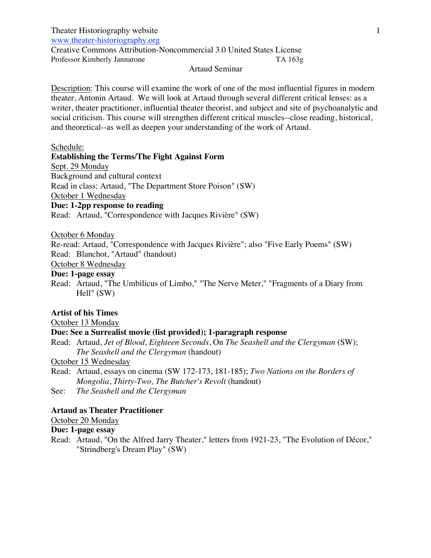Theater Historiography website

www.theater-historiography.org

Creative Commons Attribution-Noncommercial 3.0 United States License Professor Kimberly Jannarone TA 163g

#### Artaud Seminar

Description: This course will examine the work of one of the most influential figures in modern theater, Antonin Artaud. We will look at Artaud through several different critical lenses: as a writer, theater practitioner, influential theater theorist, and subject and site of psychoanalytic and social criticism. This course will strengthen different critical muscles--close reading, historical, and theoretical--as well as deepen your understanding of the work of Artaud.

## Schedule:

**Establishing the Terms/The Fight Against Form**

Sept. 29 Monday

Background and cultural context

Read in class: Artaud, "The Department Store Poison" (SW)

October 1 Wednesday

**Due: 1-2pp response to reading**

Read: Artaud, "Correspondence with Jacques Rivière" (SW)

October 6 Monday

Re-read: Artaud, "Correspondence with Jacques Rivière"; also "Five Early Poems" (SW) Read: Blanchot, "Artaud" (handout)

October 8 Wednesday

# **Due: 1-page essay**

Read: Artaud, "The Umbilicus of Limbo," "The Nerve Meter," "Fragments of a Diary from Hell" (SW)

## **Artist of his Times**

October 13 Monday

## **Due: See a Surrealist movie (list provided); 1-paragraph response**

Read: Artaud, *Jet of Blood, Eighteen Seconds*, On *The Seashell and the Clergyman* (SW); *The Seashell and the Clergyman* (handout)

October 15 Wednesday

- Read: Artaud, essays on cinema (SW 172-173, 181-185); *Two Nations on the Borders of Mongolia*, *Thirty-Two, The Butcher's Revolt* (handout)
- See: *The Seashell and the Clergyman*

# **Artaud as Theater Practitioner**

October 20 Monday

## **Due: 1-page essay**

Read: Artaud, "On the Alfred Jarry Theater," letters from 1921-23, "The Evolution of Décor," "Strindberg's Dream Play" (SW)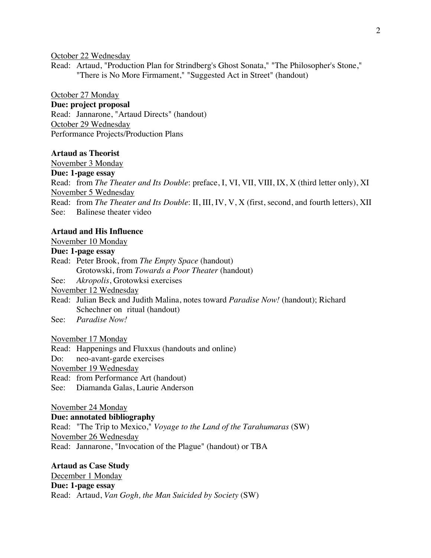October 22 Wednesday

Read: Artaud, "Production Plan for Strindberg's Ghost Sonata," "The Philosopher's Stone," "There is No More Firmament," "Suggested Act in Street" (handout)

October 27 Monday

## **Due: project proposal**

Read: Jannarone, "Artaud Directs" (handout) October 29 Wednesday Performance Projects/Production Plans

### **Artaud as Theorist**

November 3 Monday

**Due: 1-page essay**

Read: from *The Theater and Its Double*: preface, I, VI, VII, VIII, IX, X (third letter only), XI November 5 Wednesday

Read: from *The Theater and Its Double*: II, III, IV, V, X (first, second, and fourth letters), XII See: Balinese theater video

### **Artaud and His Influence**

November 10 Monday

# **Due: 1-page essay**

Read: Peter Brook, from *The Empty Space* (handout) Grotowski, from *Towards a Poor Theater* (handout)

See: *Akropolis*, Grotowksi exercises

November 12 Wednesday

- Read: Julian Beck and Judith Malina, notes toward *Paradise Now!* (handout); Richard Schechner on ritual (handout)
- See: *Paradise Now!*

November 17 Monday

Read: Happenings and Fluxxus (handouts and online)

Do: neo-avant-garde exercises

November 19 Wednesday

Read: from Performance Art (handout)

See: Diamanda Galas, Laurie Anderson

November 24 Monday

**Due: annotated bibliography** Read: "The Trip to Mexico," *Voyage to the Land of the Tarahumaras* (SW) November 26 Wednesday Read: Jannarone, "Invocation of the Plague" (handout) or TBA

**Artaud as Case Study** December 1 Monday **Due: 1-page essay** Read: Artaud, *Van Gogh, the Man Suicided by Society* (SW)